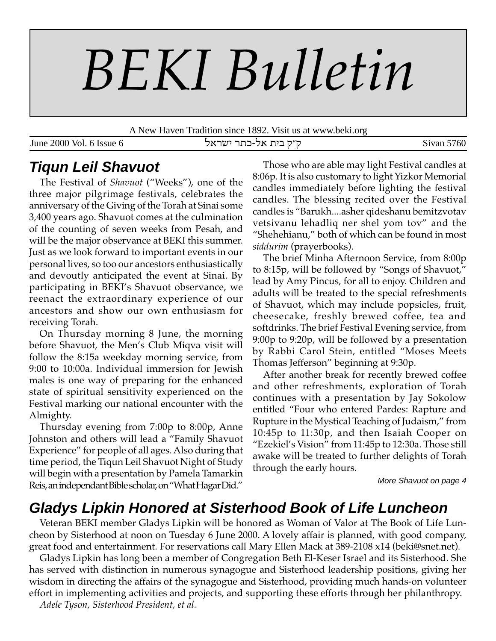# *BEKI Bulletin*

A New Haven Tradition since 1892. Visit us at www.beki.org

June 2000 Vol. 6 Issue 6 ktrah r,f-kt ,hc e"e Sivan 5760

## **Tiqun Leil Shavuot**

The Festival of *Shavuot* ("Weeks"), one of the three major pilgrimage festivals, celebrates the anniversary of the Giving of the Torah at Sinai some 3,400 years ago. Shavuot comes at the culmination of the counting of seven weeks from Pesah, and will be the major observance at BEKI this summer. Just as we look forward to important events in our personal lives, so too our ancestors enthusiastically and devoutly anticipated the event at Sinai. By participating in BEKI's Shavuot observance, we reenact the extraordinary experience of our ancestors and show our own enthusiasm for receiving Torah.

On Thursday morning 8 June, the morning before Shavuot, the Men's Club Miqva visit will follow the 8:15a weekday morning service, from 9:00 to 10:00a. Individual immersion for Jewish males is one way of preparing for the enhanced state of spiritual sensitivity experienced on the Festival marking our national encounter with the Almighty.

Thursday evening from 7:00p to 8:00p, Anne Johnston and others will lead a "Family Shavuot Experience" for people of all ages. Also during that time period, the Tiqun Leil Shavuot Night of Study will begin with a presentation by Pamela Tamarkin Reis, an independant Bible scholar, on "What Hagar Did."

Those who are able may light Festival candles at 8:06p. It is also customary to light Yizkor Memorial candles immediately before lighting the festival candles. The blessing recited over the Festival candles is "Barukh....asher qideshanu bemitzvotav vetsivanu lehadliq ner shel yom tov" and the "Shehehianu," both of which can be found in most *siddurim* (prayerbooks).

The brief Minha Afternoon Service, from 8:00p to 8:15p, will be followed by "Songs of Shavuot," lead by Amy Pincus, for all to enjoy. Children and adults will be treated to the special refreshments of Shavuot, which may include popsicles, fruit, cheesecake, freshly brewed coffee, tea and softdrinks. The brief Festival Evening service, from 9:00p to 9:20p, will be followed by a presentation by Rabbi Carol Stein, entitled "Moses Meets Thomas Jefferson" beginning at 9:30p.

After another break for recently brewed coffee and other refreshments, exploration of Torah continues with a presentation by Jay Sokolow entitled "Four who entered Pardes: Rapture and Rupture in the Mystical Teaching of Judaism," from 10:45p to 11:30p, and then Isaiah Cooper on "Ezekiel's Vision" from 11:45p to 12:30a. Those still awake will be treated to further delights of Torah through the early hours.

More Shavuot on page 4

## **Gladys Lipkin Honored at Sisterhood Book of Life Luncheon**

Veteran BEKI member Gladys Lipkin will be honored as Woman of Valor at The Book of Life Luncheon by Sisterhood at noon on Tuesday 6 June 2000. A lovely affair is planned, with good company, great food and entertainment. For reservations call Mary Ellen Mack at 389-2108 x14 (beki@snet.net).

Gladys Lipkin has long been a member of Congregation Beth El-Keser Israel and its Sisterhood. She has served with distinction in numerous synagogue and Sisterhood leadership positions, giving her wisdom in directing the affairs of the synagogue and Sisterhood, providing much hands-on volunteer effort in implementing activities and projects, and supporting these efforts through her philanthropy.

*Adele Tyson, Sisterhood President, et al.*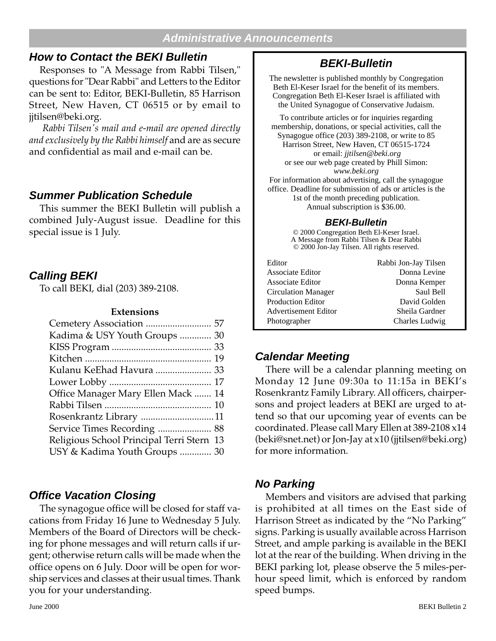#### **Administrative Announcements**

## **How to Contact the BEKI Bulletin**

Responses to "A Message from Rabbi Tilsen," questions for "Dear Rabbi" and Letters to the Editor can be sent to: Editor, BEKI-Bulletin, 85 Harrison Street, New Haven, CT 06515 or by email to jjtilsen@beki.org.

 *Rabbi Tilsen's mail and e-mail are opened directly and exclusively by the Rabbi himself* and are as secure and confidential as mail and e-mail can be.

## **Summer Publication Schedule**

This summer the BEKI Bulletin will publish a combined July-August issue. Deadline for this special issue is 1 July.

## **Calling BEKI**

To call BEKI, dial (203) 389-2108.

#### **Extensions**

| Kadima & USY Youth Groups  30             |  |
|-------------------------------------------|--|
|                                           |  |
|                                           |  |
| Kulanu KeEhad Havura  33                  |  |
|                                           |  |
| Office Manager Mary Ellen Mack  14        |  |
|                                           |  |
|                                           |  |
| Service Times Recording  88               |  |
| Religious School Principal Terri Stern 13 |  |
| USY & Kadima Youth Groups  30             |  |
|                                           |  |

## **Office Vacation Closing**

The synagogue office will be closed for staff vacations from Friday 16 June to Wednesday 5 July. Members of the Board of Directors will be checking for phone messages and will return calls if urgent; otherwise return calls will be made when the office opens on 6 July. Door will be open for worship services and classes at their usual times. Thank you for your understanding.

The newsletter is published monthly by Congregation Beth El-Keser Israel for the benefit of its members. Congregation Beth El-Keser Israel is affiliated with the United Synagogue of Conservative Judaism.

To contribute articles or for inquiries regarding membership, donations, or special activities, call the Synagogue office (203) 389-2108, or write to 85 Harrison Street, New Haven, CT 06515-1724 or email: *jjtilsen@beki.org* or see our web page created by Phill Simon: *www.beki.org* For information about advertising, call the synagogue

office. Deadline for submission of ads or articles is the 1st of the month preceding publication. Annual subscription is \$36.00.

#### **BEKI-Bulletin**

© 2000 Congregation Beth El-Keser Israel. A Message from Rabbi Tilsen & Dear Rabbi © 2000 Jon-Jay Tilsen. All rights reserved.

| Editor                     | Rabbi Jon-Jay Tilsen |
|----------------------------|----------------------|
| <b>Associate Editor</b>    | Donna Levine         |
| Associate Editor           | Donna Kemper         |
| <b>Circulation Manager</b> | Saul Bell            |
| <b>Production Editor</b>   | David Golden         |
| Advertisement Editor       | Sheila Gardner       |
| Photographer               | Charles Ludwig       |

## **Calendar Meeting**

There will be a calendar planning meeting on Monday 12 June 09:30a to 11:15a in BEKI's Rosenkrantz Family Library. All officers, chairpersons and project leaders at BEKI are urged to attend so that our upcoming year of events can be coordinated. Please call Mary Ellen at 389-2108 x14 (beki@snet.net) or Jon-Jay at x10 (jjtilsen@beki.org) for more information.

## **No Parking**

Members and visitors are advised that parking is prohibited at all times on the East side of Harrison Street as indicated by the "No Parking" signs. Parking is usually available across Harrison Street, and ample parking is available in the BEKI lot at the rear of the building. When driving in the BEKI parking lot, please observe the 5 miles-perhour speed limit, which is enforced by random speed bumps.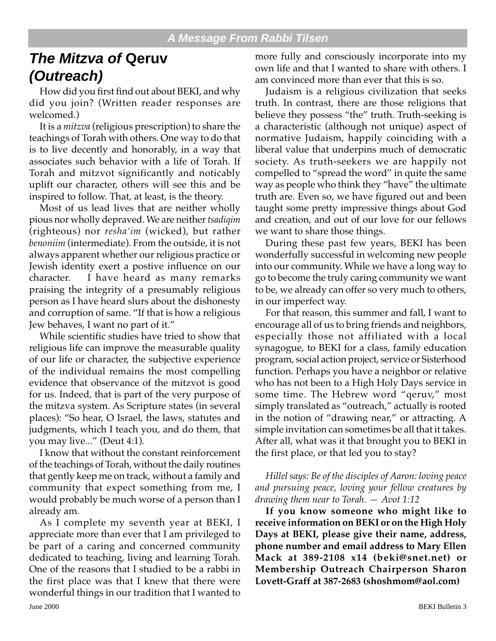## **The Mitzva of Qeruv (Outreach)**

How did you first find out about BEKI, and why did you join? (Written reader responses are welcomed.)

It is a *mitzva* (religious prescription) to share the teachings of Torah with others. One way to do that is to live decently and honorably, in a way that associates such behavior with a life of Torah. If Torah and mitzvot significantly and noticably uplift our character, others will see this and be inspired to follow. That, at least, is the theory.

Most of us lead lives that are neither wholly pious nor wholly depraved. We are neither *tsadiqim* (righteous) nor *resha'im* (wicked), but rather *benoniim* (intermediate). From the outside, it is not always apparent whether our religious practice or Jewish identity exert a postive influence on our character. I have heard as many remarks praising the integrity of a presumably religious person as I have heard slurs about the dishonesty and corruption of same. "If that is how a religious Jew behaves, I want no part of it."

While scientific studies have tried to show that religious life can improve the measurable quality of our life or character, the subjective experience of the individual remains the most compelling evidence that observance of the mitzvot is good for us. Indeed, that is part of the very purpose of the mitzva system. As Scripture states (in several places): "So hear, O Israel, the laws, statutes and judgments, which I teach you, and do them, that you may live..." (Deut 4:1).

I know that without the constant reinforcement of the teachings of Torah, without the daily routines that gently keep me on track, without a family and community that expect something from me, I would probably be much worse of a person than I already am.

June 2000 BEKI Bulletin 3 As I complete my seventh year at BEKI, I appreciate more than ever that I am privileged to be part of a caring and concerned community dedicated to teaching, living and learning Torah. One of the reasons that I studied to be a rabbi in the first place was that I knew that there were wonderful things in our tradition that I wanted to

more fully and consciously incorporate into my own life and that I wanted to share with others. I am convinced more than ever that this is so.

Judaism is a religious civilization that seeks truth. In contrast, there are those religions that believe they possess "the" truth. Truth-seeking is a characteristic (although not unique) aspect of normative Judaism, happily coinciding with a liberal value that underpins much of democratic society. As truth-seekers we are happily not compelled to "spread the word" in quite the same way as people who think they "have" the ultimate truth are. Even so, we have figured out and been taught some pretty impressive things about God and creation, and out of our love for our fellows we want to share those things.

During these past few years, BEKI has been wonderfully successful in welcoming new people into our community. While we have a long way to go to become the truly caring community we want to be, we already can offer so very much to others, in our imperfect way.

For that reason, this summer and fall, I want to encourage all of us to bring friends and neighbors, especially those not affiliated with a local synagogue, to BEKI for a class, family education program, social action project, service or Sisterhood function. Perhaps you have a neighbor or relative who has not been to a High Holy Days service in some time. The Hebrew word "qeruv," most simply translated as "outreach," actually is rooted in the notion of "drawing near," or attracting. A simple invitation can sometimes be all that it takes. After all, what was it that brought you to BEKI in the first place, or that led you to stay?

*Hillel says: Be of the disciples of Aaron: loving peace and pursuing peace, loving your fellow creatures by drawing them near to Torah. — Avot 1:12*

**If you know someone who might like to receive information on BEKI or on the High Holy Days at BEKI, please give their name, address, phone number and email address to Mary Ellen Mack at 389-2108 x14 (beki@snet.net) or Membership Outreach Chairperson Sharon Lovett-Graff at 387-2683 (shoshmom@aol.com)**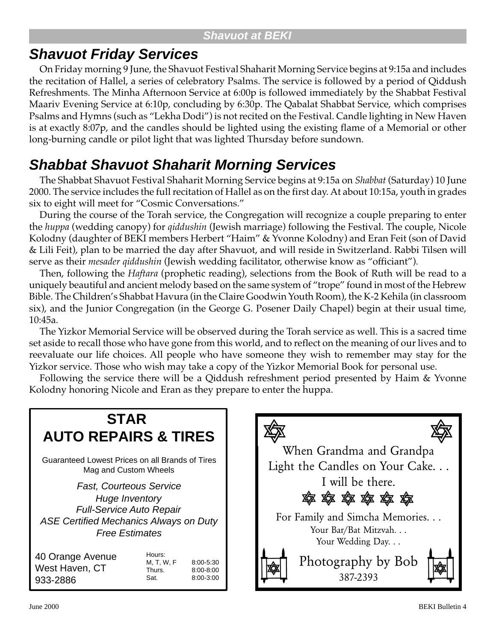## **Shavuot at BEKI**

## **Shavuot Friday Services**

On Friday morning 9 June, the Shavuot Festival Shaharit Morning Service begins at 9:15a and includes the recitation of Hallel, a series of celebratory Psalms. The service is followed by a period of Qiddush Refreshments. The Minha Afternoon Service at 6:00p is followed immediately by the Shabbat Festival Maariv Evening Service at 6:10p, concluding by 6:30p. The Qabalat Shabbat Service, which comprises Psalms and Hymns (such as "Lekha Dodi") is not recited on the Festival. Candle lighting in New Haven is at exactly 8:07p, and the candles should be lighted using the existing flame of a Memorial or other long-burning candle or pilot light that was lighted Thursday before sundown.

# **Shabbat Shavuot Shaharit Morning Services**

The Shabbat Shavuot Festival Shaharit Morning Service begins at 9:15a on *Shabbat* (Saturday) 10 June 2000. The service includes the full recitation of Hallel as on the first day. At about 10:15a, youth in grades six to eight will meet for "Cosmic Conversations."

During the course of the Torah service, the Congregation will recognize a couple preparing to enter the *huppa* (wedding canopy) for *qiddushin* (Jewish marriage) following the Festival. The couple, Nicole Kolodny (daughter of BEKI members Herbert "Haim" & Yvonne Kolodny) and Eran Feit (son of David & Lili Feit), plan to be married the day after Shavuot, and will reside in Switzerland. Rabbi Tilsen will serve as their *mesader qiddushin* (Jewish wedding facilitator, otherwise know as "officiant").

Then, following the *Haftara* (prophetic reading), selections from the Book of Ruth will be read to a uniquely beautiful and ancient melody based on the same system of "trope" found in most of the Hebrew Bible. The Children's Shabbat Havura (in the Claire Goodwin Youth Room), the K-2 Kehila (in classroom six), and the Junior Congregation (in the George G. Posener Daily Chapel) begin at their usual time, 10:45a.

The Yizkor Memorial Service will be observed during the Torah service as well. This is a sacred time set aside to recall those who have gone from this world, and to reflect on the meaning of our lives and to reevaluate our life choices. All people who have someone they wish to remember may stay for the Yizkor service. Those who wish may take a copy of the Yizkor Memorial Book for personal use.

Following the service there will be a Qiddush refreshment period presented by Haim & Yvonne Kolodny honoring Nicole and Eran as they prepare to enter the huppa.



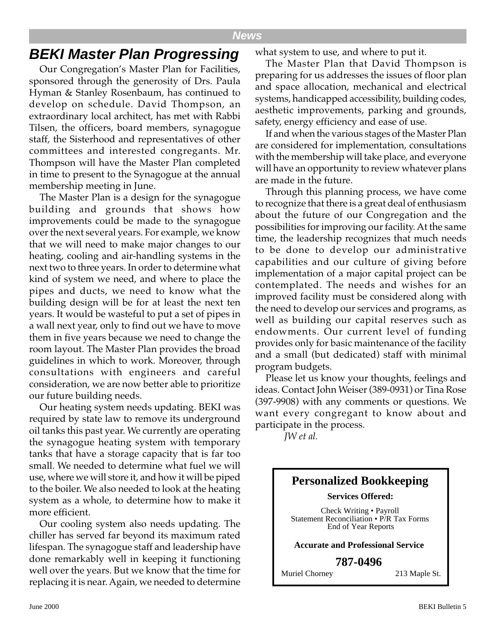## **BEKI Master Plan Progressing**

Our Congregation's Master Plan for Facilities, sponsored through the generosity of Drs. Paula Hyman & Stanley Rosenbaum, has continued to develop on schedule. David Thompson, an extraordinary local architect, has met with Rabbi Tilsen, the officers, board members, synagogue staff, the Sisterhood and representatives of other committees and interested congregants. Mr. Thompson will have the Master Plan completed in time to present to the Synagogue at the annual membership meeting in June.

The Master Plan is a design for the synagogue building and grounds that shows how improvements could be made to the synagogue over the next several years. For example, we know that we will need to make major changes to our heating, cooling and air-handling systems in the next two to three years. In order to determine what kind of system we need, and where to place the pipes and ducts, we need to know what the building design will be for at least the next ten years. It would be wasteful to put a set of pipes in a wall next year, only to find out we have to move them in five years because we need to change the room layout. The Master Plan provides the broad guidelines in which to work. Moreover, through consultations with engineers and careful consideration, we are now better able to prioritize our future building needs.

Our heating system needs updating. BEKI was required by state law to remove its underground oil tanks this past year. We currently are operating the synagogue heating system with temporary tanks that have a storage capacity that is far too small. We needed to determine what fuel we will use, where we will store it, and how it will be piped to the boiler. We also needed to look at the heating system as a whole, to determine how to make it more efficient.

Our cooling system also needs updating. The chiller has served far beyond its maximum rated lifespan. The synagogue staff and leadership have done remarkably well in keeping it functioning well over the years. But we know that the time for replacing it is near. Again, we needed to determine what system to use, and where to put it.

The Master Plan that David Thompson is preparing for us addresses the issues of floor plan and space allocation, mechanical and electrical systems, handicapped accessibility, building codes, aesthetic improvements, parking and grounds, safety, energy efficiency and ease of use.

If and when the various stages of the Master Plan are considered for implementation, consultations with the membership will take place, and everyone will have an opportunity to review whatever plans are made in the future.

Through this planning process, we have come to recognize that there is a great deal of enthusiasm about the future of our Congregation and the possibilities for improving our facility. At the same time, the leadership recognizes that much needs to be done to develop our administrative capabilities and our culture of giving before implementation of a major capital project can be contemplated. The needs and wishes for an improved facility must be considered along with the need to develop our services and programs, as well as building our capital reserves such as endowments. Our current level of funding provides only for basic maintenance of the facility and a small (but dedicated) staff with minimal program budgets.

Please let us know your thoughts, feelings and ideas. Contact John Weiser (389-0931) or Tina Rose (397-9908) with any comments or questions. We want every congregant to know about and participate in the process.

*JW et al.*

## **Personalized Bookkeeping Services Offered:** Check Writing • Payroll Statement Reconciliation • P/R Tax Forms End of Year Reports **Accurate and Professional Service**

**787-0496**

Muriel Chorney 213 Maple St.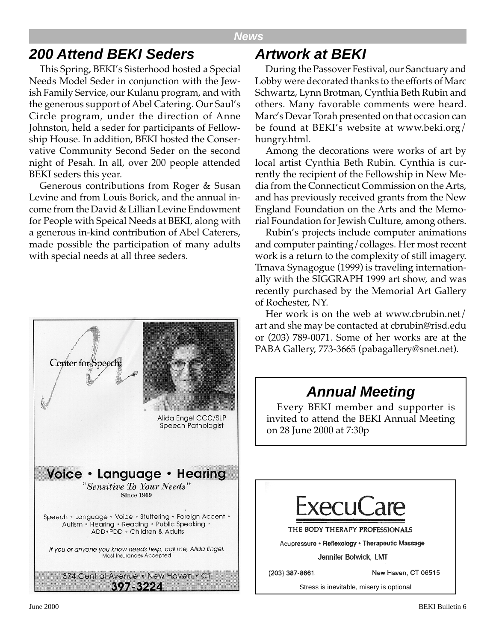#### **News**

## **200 Attend BEKI Seders**

This Spring, BEKI's Sisterhood hosted a Special Needs Model Seder in conjunction with the Jewish Family Service, our Kulanu program, and with the generous support of Abel Catering. Our Saul's Circle program, under the direction of Anne Johnston, held a seder for participants of Fellowship House. In addition, BEKI hosted the Conservative Community Second Seder on the second night of Pesah. In all, over 200 people attended BEKI seders this year.

Generous contributions from Roger & Susan Levine and from Louis Borick, and the annual income from the David & Lillian Levine Endowment for People with Speical Needs at BEKI, along with a generous in-kind contribution of Abel Caterers, made possible the participation of many adults with special needs at all three seders.



## **Artwork at BEKI**

During the Passover Festival, our Sanctuary and Lobby were decorated thanks to the efforts of Marc Schwartz, Lynn Brotman, Cynthia Beth Rubin and others. Many favorable comments were heard. Marc's Devar Torah presented on that occasion can be found at BEKI's website at www.beki.org/ hungry.html.

Among the decorations were works of art by local artist Cynthia Beth Rubin. Cynthia is currently the recipient of the Fellowship in New Media from the Connecticut Commission on the Arts, and has previously received grants from the New England Foundation on the Arts and the Memorial Foundation for Jewish Culture, among others.

Rubin's projects include computer animations and computer painting/collages. Her most recent work is a return to the complexity of still imagery. Trnava Synagogue (1999) is traveling internationally with the SIGGRAPH 1999 art show, and was recently purchased by the Memorial Art Gallery of Rochester, NY.

Her work is on the web at www.cbrubin.net/ art and she may be contacted at cbrubin@risd.edu or (203) 789-0071. Some of her works are at the PABA Gallery, 773-3665 (pabagallery@snet.net).

## **Annual Meeting**

Every BEKI member and supporter is invited to attend the BEKI Annual Meeting on 28 June 2000 at 7:30p

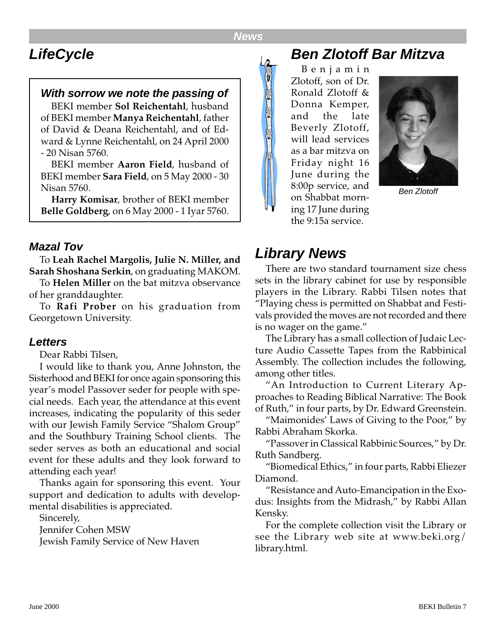# **LifeCycle**

#### **With sorrow we note the passing of**

BEKI member **Sol Reichentahl**, husband of BEKI member **Manya Reichentahl**, father of David & Deana Reichentahl, and of Edward & Lynne Reichentahl, on 24 April 2000 - 20 Nisan 5760.

BEKI member **Aaron Field**, husband of BEKI member **Sara Field**, on 5 May 2000 - 30 Nisan 5760.

**Harry Komisar**, brother of BEKI member **Belle Goldberg**, on 6 May 2000 - 1 Iyar 5760.

#### **Mazal Tov**

To **Leah Rachel Margolis, Julie N. Miller, and Sarah Shoshana Serkin**, on graduating MAKOM.

To **Helen Miller** on the bat mitzva observance of her granddaughter.

To **Rafi Prober** on his graduation from Georgetown University.

#### **Letters**

Dear Rabbi Tilsen,

I would like to thank you, Anne Johnston, the Sisterhood and BEKI for once again sponsoring this year's model Passover seder for people with special needs. Each year, the attendance at this event increases, indicating the popularity of this seder with our Jewish Family Service "Shalom Group" and the Southbury Training School clients. The seder serves as both an educational and social event for these adults and they look forward to attending each year!

Thanks again for sponsoring this event. Your support and dedication to adults with developmental disabilities is appreciated.

Sincerely,

Jennifer Cohen MSW

Jewish Family Service of New Haven

## **Ben Zlotoff Bar Mitzva**

Benjamin Zlotoff, son of Dr. Ronald Zlotoff & Donna Kemper, and the late Beverly Zlotoff, will lead services as a bar mitzva on Friday night 16 June during the 8:00p service, and on Shabbat morning 17 June during the 9:15a service.



Ben Zlotoff

## **Library News**

There are two standard tournament size chess sets in the library cabinet for use by responsible players in the Library. Rabbi Tilsen notes that "Playing chess is permitted on Shabbat and Festivals provided the moves are not recorded and there is no wager on the game."

The Library has a small collection of Judaic Lecture Audio Cassette Tapes from the Rabbinical Assembly. The collection includes the following, among other titles.

"An Introduction to Current Literary Approaches to Reading Biblical Narrative: The Book of Ruth," in four parts, by Dr. Edward Greenstein.

"Maimonides' Laws of Giving to the Poor," by Rabbi Abraham Skorka.

"Passover in Classical Rabbinic Sources," by Dr. Ruth Sandberg.

"Biomedical Ethics," in four parts, Rabbi Eliezer Diamond.

"Resistance and Auto-Emancipation in the Exodus: Insights from the Midrash," by Rabbi Allan Kensky.

For the complete collection visit the Library or see the Library web site at www.beki.org/ library.html.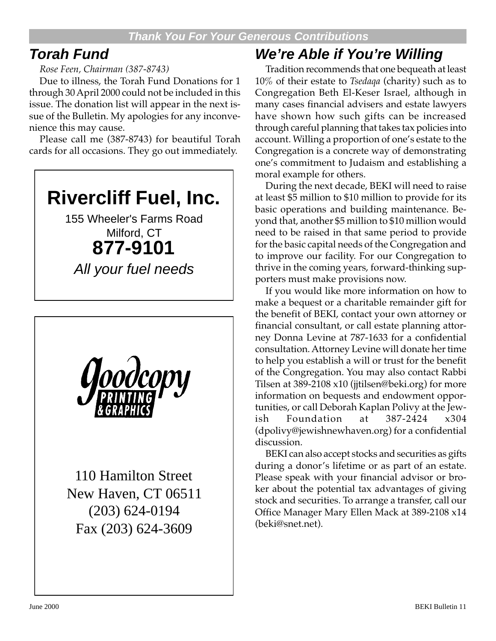## **Torah Fund**

#### *Rose Feen, Chairman (387-8743)*

Due to illness, the Torah Fund Donations for 1 through 30 April 2000 could not be included in this issue. The donation list will appear in the next issue of the Bulletin. My apologies for any inconvenience this may cause.

Please call me (387-8743) for beautiful Torah cards for all occasions. They go out immediately.

# **Rivercliff Fuel, Inc.**

155 Wheeler's Farms Road Milford, CT **877-9101**

All your fuel needs



110 Hamilton Street New Haven, CT 06511 (203) 624-0194 Fax (203) 624-3609

# **We're Able if You're Willing**

Tradition recommends that one bequeath at least 10% of their estate to *Tsedaqa* (charity) such as to Congregation Beth El-Keser Israel, although in many cases financial advisers and estate lawyers have shown how such gifts can be increased through careful planning that takes tax policies into account. Willing a proportion of one's estate to the Congregation is a concrete way of demonstrating one's commitment to Judaism and establishing a moral example for others.

During the next decade, BEKI will need to raise at least \$5 million to \$10 million to provide for its basic operations and building maintenance. Beyond that, another \$5 million to \$10 million would need to be raised in that same period to provide for the basic capital needs of the Congregation and to improve our facility. For our Congregation to thrive in the coming years, forward-thinking supporters must make provisions now.

If you would like more information on how to make a bequest or a charitable remainder gift for the benefit of BEKI, contact your own attorney or financial consultant, or call estate planning attorney Donna Levine at 787-1633 for a confidential consultation. Attorney Levine will donate her time to help you establish a will or trust for the benefit of the Congregation. You may also contact Rabbi Tilsen at 389-2108 x10 (jjtilsen@beki.org) for more information on bequests and endowment opportunities, or call Deborah Kaplan Polivy at the Jewish Foundation at 387-2424 x304 (dpolivy@jewishnewhaven.org) for a confidential discussion.

BEKI can also accept stocks and securities as gifts during a donor's lifetime or as part of an estate. Please speak with your financial advisor or broker about the potential tax advantages of giving stock and securities. To arrange a transfer, call our Office Manager Mary Ellen Mack at 389-2108 x14 (beki@snet.net).